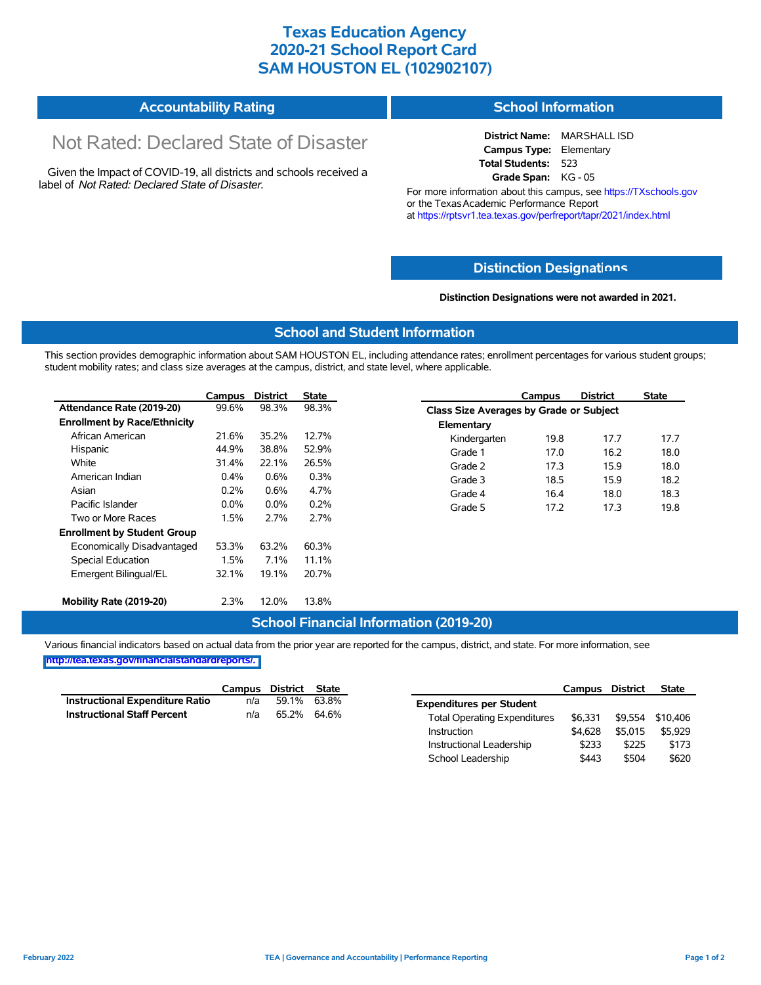# **Texas Education Agency 2020-21 School Report Card SAM HOUSTON EL (102902107)**

#### **Accountability Rating School Information**

# Not Rated: Declared State of Disaster

Given the Impact of COVID-19, all districts and schools received a label of *Not Rated: Declared State of Disaster.*

**District Name:** MARSHALL ISD **Campus Type:** Elementary **Total Students:** 523 **Grade Span:** KG - 05

For more information about this campus, see https://TXschools.gov or the Texas Academic Performance Report at https://rptsvr1.tea.texas.gov/perfreport/tapr/2021/index.html

### **Distinction Designat[ions](https://TXschools.gov)**

**Distinction Designations were not awarded in 2021.**

School Leadership \$443 \$504 \$620

#### **School and Student Information**

This section provides demographic information about SAM HOUSTON EL, including attendance rates; enrollment percentages for various student groups; student mobility rates; and class size averages at the campus, district, and state level, where applicable.

|                                     | Campus  | <b>District</b> | <b>State</b> |              | Campus                                  | <b>District</b> | <b>State</b> |  |  |
|-------------------------------------|---------|-----------------|--------------|--------------|-----------------------------------------|-----------------|--------------|--|--|
| Attendance Rate (2019-20)           | 99.6%   | 98.3%           | 98.3%        |              | Class Size Averages by Grade or Subject |                 |              |  |  |
| <b>Enrollment by Race/Ethnicity</b> |         |                 |              | Elementary   |                                         |                 |              |  |  |
| African American                    | 21.6%   | 35.2%           | 12.7%        | Kindergarten | 19.8                                    | 17.7            | 17.7         |  |  |
| Hispanic                            | 44.9%   | 38.8%           | 52.9%        | Grade 1      | 17.0                                    | 16.2            | 18.0         |  |  |
| White                               | 31.4%   | 22.1%           | 26.5%        | Grade 2      | 17.3                                    | 15.9            | 18.0         |  |  |
| American Indian                     | 0.4%    | 0.6%            | 0.3%         | Grade 3      | 18.5                                    | 15.9            | 18.2         |  |  |
| Asian                               | 0.2%    | 0.6%            | 4.7%         | Grade 4      | 16.4                                    | 18.0            | 18.3         |  |  |
| Pacific Islander                    | $0.0\%$ | $0.0\%$         | 0.2%         | Grade 5      | 17.2                                    | 17.3            | 19.8         |  |  |
| Two or More Races                   | 1.5%    | 2.7%            | 2.7%         |              |                                         |                 |              |  |  |
| <b>Enrollment by Student Group</b>  |         |                 |              |              |                                         |                 |              |  |  |
| Economically Disadvantaged          | 53.3%   | 63.2%           | 60.3%        |              |                                         |                 |              |  |  |
| Special Education                   | 1.5%    | 7.1%            | 11.1%        |              |                                         |                 |              |  |  |
| Emergent Bilingual/EL               | 32.1%   | 19.1%           | 20.7%        |              |                                         |                 |              |  |  |
|                                     |         |                 |              |              |                                         |                 |              |  |  |
| Mobility Rate (2019-20)             | 2.3%    | 12.0%           | 13.8%        |              |                                         |                 |              |  |  |

### **School Financial Information (2019-20)**

Various financial indicators based on actual data from the prior year are reported for the campus, district, and state. For more information, see

**[http://tea.texas.gov/financialstandardreports/.](http://tea.texas.gov/financialstandardreports/)**

|                                        | Campus | District | <b>State</b> |                                     | Campus  | <b>District</b> | <b>State</b> |
|----------------------------------------|--------|----------|--------------|-------------------------------------|---------|-----------------|--------------|
| <b>Instructional Expenditure Ratio</b> | n/a    | 59.1%    | 63.8%        | <b>Expenditures per Student</b>     |         |                 |              |
| <b>Instructional Staff Percent</b>     | n/a    | 65.2%    | 64.6%        | <b>Total Operating Expenditures</b> | \$6.331 | \$9.554         | \$10.406     |
|                                        |        |          |              | Instruction                         | \$4.628 | \$5,015         | \$5.929      |
|                                        |        |          |              | Instructional Leadership            | \$233   | \$225           | \$173        |